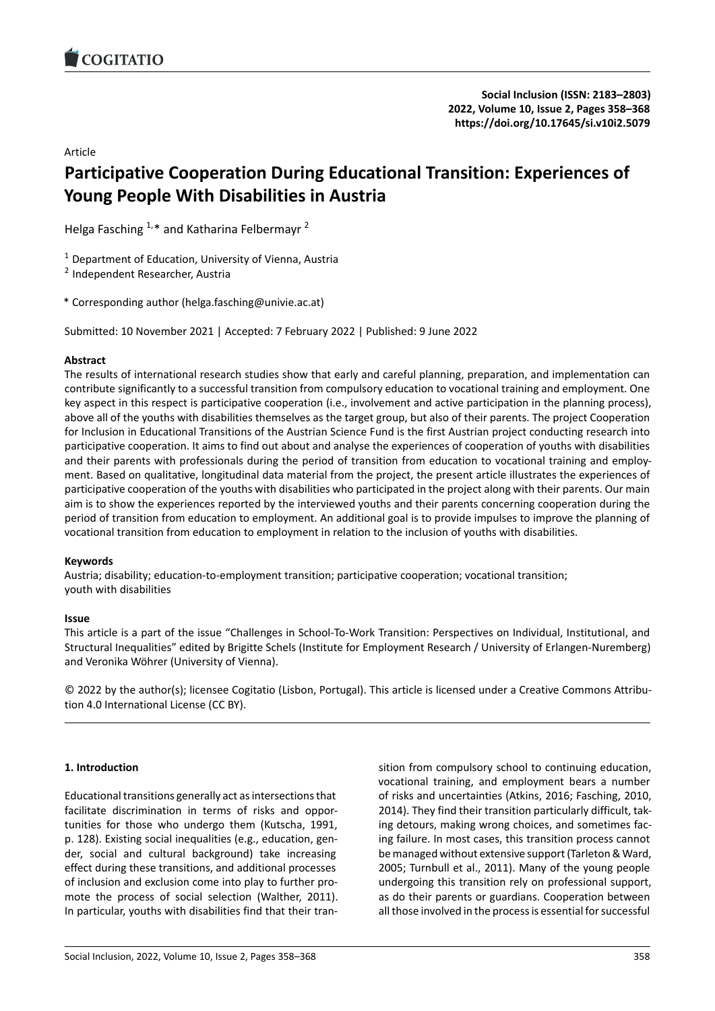Article

# **Participative Cooperation During Educational Tra[nsition: Experiences of](https://doi.org/10.17645/si.v10i2.5079) Young People With Disabilities in Austria**

Helga Fasching  $1.*$  and Katharina Felbermayr<sup>2</sup>

 $1$  Department of Education, University of Vienna, Austria

<sup>2</sup> Independent Researcher, Austria

\* Corresponding author (helga.fasching@univie.ac.at)

Submitted: 10 November 2021 | Accepted: 7 February 2022 | Published: 9 June 2022

## **Abstract**

The results of international research studies show that early and careful planning, preparation, and implementation can contribute significantly to a successful transition from compulsory education to vocational training and employment. One key aspect in this respect is participative cooperation (i.e., involvement and active participation in the planning process), above all of the youths with disabilities themselves as the target group, but also of their parents. The project Cooperation for Inclusion in Educational Transitions of the Austrian Science Fund is the first Austrian project conducting research into participative cooperation. It aims to find out about and analyse the experiences of cooperation of youths with disabilities and their parents with professionals during the period of transition from education to vocational training and employment. Based on qualitative, longitudinal data material from the project, the present article illustrates the experiences of participative cooperation of the youths with disabilities who participated in the project along with their parents. Our main aim is to show the experiences reported by the interviewed youths and their parents concerning cooperation during the period of transition from education to employment. An additional goal is to provide impulses to improve the planning of vocational transition from education to employment in relation to the inclusion of youths with disabilities.

### **Keywords**

Austria; disability; education‐to‐employment transition; participative cooperation; vocational transition; youth with disabilities

### **Issue**

This article is a part of the issue "Challenges in School‐To‐Work Transition: Perspectives on Individual, Institutional, and Structural Inequalities" edited by Brigitte Schels (Institute for Employment Research / University of Erlangen‐Nuremberg) and Veronika Wöhrer (University of Vienna).

© 2022 by the author(s); licensee Cogitatio (Lisbon, Portugal). This article is licensed under a Creative Commons Attribu‐ tion 4.0 International License (CC BY).

# **1. Introduction**

Educational transitions generally act as intersections that facilitate discrimination in terms of risks and oppor‐ tunities for those who undergo them (Kutscha, 1991, p. 128). Existing social inequalities (e.g., education, gen‐ der, social and cultural background) take increasing effect during these transitions, and additional processes of inclusion and exclusion come into play to further pro‐ mote the process of social selection (Walther, 2011). In particular, youths with disabilities find that their tran‐ sition from compulsory school to continuing education, vocational training, and employment bears a number of risks and uncertainties (Atkins, 2016; Fasching, 2010, 2014). They find their transition particularly difficult, tak‐ ing detours, making wrong choices, and sometimes fac‐ ing failure. In most cases, this transition process cannot be managed without extensive support (Tarleton & Ward, 2005; Turnbull et al., 2011). Many of the young people undergoing this transition rely on professional support, as do their parents or guardians. Cooperation between all those involved in the process is essential for successful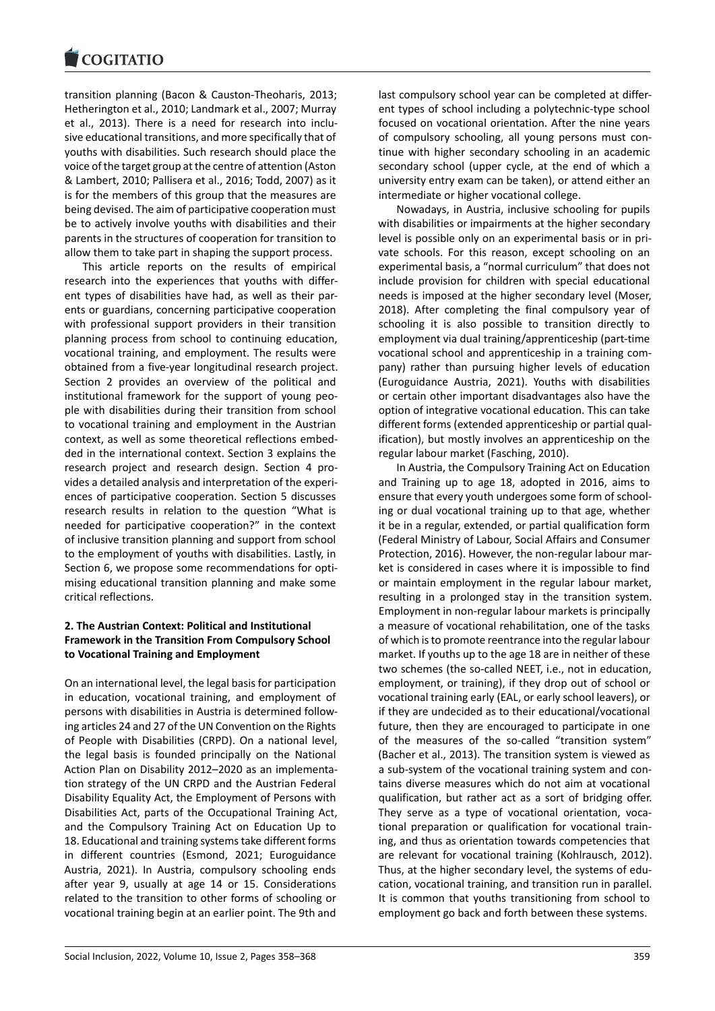transition planning (Bacon & Causton‐Theoharis, 2013; [Hetherington et al., 2](https://www.cogitatiopress.com)010; Landmark et al., 2007; Murray et al., 2013). There is a need for research into inclu‐ sive educational transitions, and more specifically that of youths with disabilities. Such research should place the voice of the target group at the centre of attention (Aston & Lambert, 2010; Pallisera et al., 2016; Todd, 2007) as it is for the members of this group that the measures are being devised. The aim of participative cooperation must be to actively involve youths with disabilities and their parents in the structures of cooperation for transition to allow them to take part in shaping the support process.

This article reports on the results of empirical research into the experiences that youths with differ‐ ent types of disabilities have had, as well as their par‐ ents or guardians, concerning participative cooperation with professional support providers in their transition planning process from school to continuing education, vocational training, and employment. The results were obtained from a five‐year longitudinal research project. Section 2 provides an overview of the political and institutional framework for the support of young peo‐ ple with disabilities during their transition from school to vocational training and employment in the Austrian context, as well as some theoretical reflections embed‐ ded in the international context. Section 3 explains the research project and research design. Section 4 pro‐ vides a detailed analysis and interpretation of the experi‐ ences of participative cooperation. Section 5 discusses research results in relation to the question "What is needed for participative cooperation?" in the context of inclusive transition planning and support from school to the employment of youths with disabilities. Lastly, in Section 6, we propose some recommendations for opti‐ mising educational transition planning and make some critical reflections.

### **2. The Austrian Context: Political and Institutional Framework in the Transition From Compulsory School to Vocational Training and Employment**

On an international level, the legal basis for participation in education, vocational training, and employment of persons with disabilities in Austria is determined follow‐ ing articles 24 and 27 of the UN Convention on the Rights of People with Disabilities (CRPD). On a national level, the legal basis is founded principally on the National Action Plan on Disability 2012–2020 as an implementa‐ tion strategy of the UN CRPD and the Austrian Federal Disability Equality Act, the Employment of Persons with Disabilities Act, parts of the Occupational Training Act, and the Compulsory Training Act on Education Up to 18. Educational and training systems take different forms in different countries (Esmond, 2021; Euroguidance Austria, 2021). In Austria, compulsory schooling ends after year 9, usually at age 14 or 15. Considerations related to the transition to other forms of schooling or vocational training begin at an earlier point. The 9th and

last compulsory school year can be completed at differ‐ ent types of school including a polytechnic‐type school focused on vocational orientation. After the nine years of compulsory schooling, all young persons must con‐ tinue with higher secondary schooling in an academic secondary school (upper cycle, at the end of which a university entry exam can be taken), or attend either an intermediate or higher vocational college.

Nowadays, in Austria, inclusive schooling for pupils with disabilities or impairments at the higher secondary level is possible only on an experimental basis or in pri‐ vate schools. For this reason, except schooling on an experimental basis, a "normal curriculum" that does not include provision for children with special educational needs is imposed at the higher secondary level (Moser, 2018). After completing the final compulsory year of schooling it is also possible to transition directly to employment via dual training/apprenticeship (part‐time vocational school and apprenticeship in a training com‐ pany) rather than pursuing higher levels of education (Euroguidance Austria, 2021). Youths with disabilities or certain other important disadvantages also have the option of integrative vocational education. This can take different forms (extended apprenticeship or partial qual‐ ification), but mostly involves an apprenticeship on the regular labour market (Fasching, 2010).

In Austria, the Compulsory Training Act on Education and Training up to age 18, adopted in 2016, aims to ensure that every youth undergoes some form of school‐ ing or dual vocational training up to that age, whether it be in a regular, extended, or partial qualification form (Federal Ministry of Labour, Social Affairs and Consumer Protection, 2016). However, the non‐regular labour mar‐ ket is considered in cases where it is impossible to find or maintain employment in the regular labour market, resulting in a prolonged stay in the transition system. Employment in non‐regular labour markets is principally a measure of vocational rehabilitation, one of the tasks of which is to promote reentrance into the regular labour market. If youths up to the age 18 are in neither of these two schemes (the so-called NEET, i.e., not in education, employment, or training), if they drop out of school or vocational training early (EAL, or early school leavers), or if they are undecided as to their educational/vocational future, then they are encouraged to participate in one of the measures of the so-called "transition system" (Bacher et al., 2013). The transition system is viewed as a sub‐system of the vocational training system and con‐ tains diverse measures which do not aim at vocational qualification, but rather act as a sort of bridging offer. They serve as a type of vocational orientation, vocational preparation or qualification for vocational train‐ ing, and thus as orientation towards competencies that are relevant for vocational training (Kohlrausch, 2012). Thus, at the higher secondary level, the systems of edu‐ cation, vocational training, and transition run in parallel. It is common that youths transitioning from school to employment go back and forth between these systems.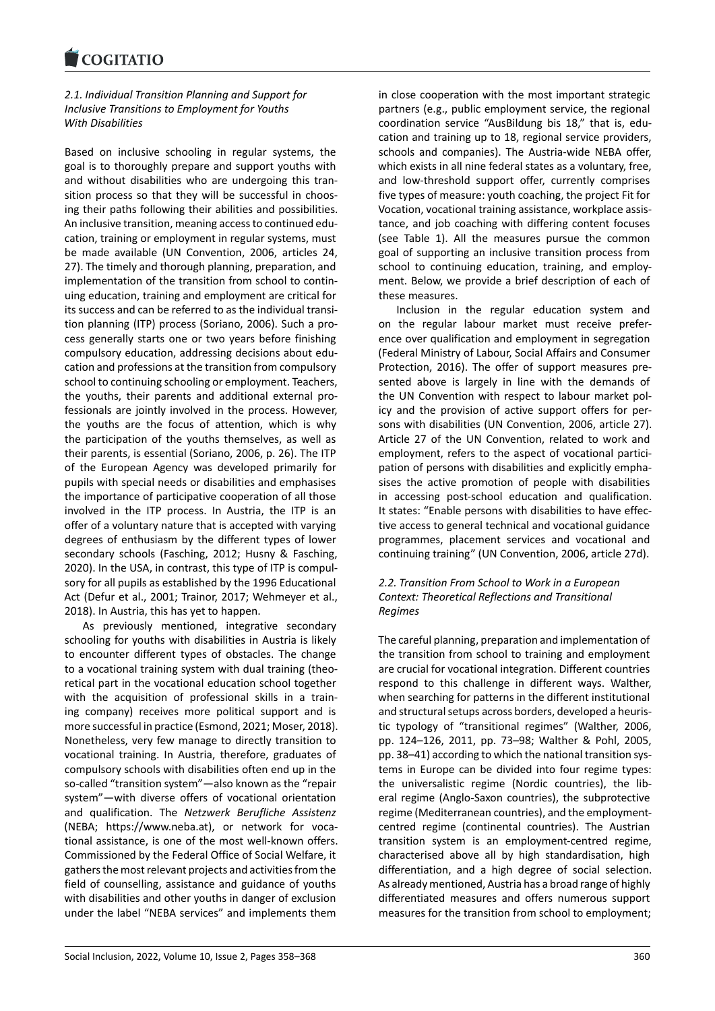### *2.1. Individual Transition Planning and Support for [Inclusive Transitions](https://www.cogitatiopress.com) to Employment for Youths With Disabilities*

Based on inclusive schooling in regular systems, the goal is to thoroughly prepare and support youths with and without disabilities who are undergoing this tran‐ sition process so that they will be successful in choos‐ ing their paths following their abilities and possibilities. An inclusive transition, meaning access to continued edu‐ cation, training or employment in regular systems, must be made available (UN Convention, 2006, articles 24, 27). The timely and thorough planning, preparation, and implementation of the transition from school to contin‐ uing education, training and employment are critical for its success and can be referred to as the individual transi‐ tion planning (ITP) process (Soriano, 2006). Such a pro‐ cess generally starts one or two years before finishing compulsory education, addressing decisions about edu‐ cation and professions at the transition from compulsory school to continuing schooling or employment. Teachers, the youths, their parents and additional external pro‐ fessionals are jointly involved in the process. However, the youths are the focus of attention, which is why the participation of the youths themselves, as well as their parents, is essential (Soriano, 2006, p. 26). The ITP of the European Agency was developed primarily for pupils with special needs or disabilities and emphasises the importance of participative cooperation of all those involved in the ITP process. In Austria, the ITP is an offer of a voluntary nature that is accepted with varying degrees of enthusiasm by the different types of lower secondary schools (Fasching, 2012; Husny & Fasching, 2020). In the USA, in contrast, this type of ITP is compul‐ sory for all pupils as established by the 1996 Educational Act (Defur et al., 2001; Trainor, 2017; Wehmeyer et al., 2018). In Austria, this has yet to happen.

As previously mentioned, integrative secondary schooling for youths with disabilities in Austria is likely to encounter different types of obstacles. The change to a vocational training system with dual training (theo‐ retical part in the vocational education school together with the acquisition of professional skills in a training company) receives more political support and is more successful in practice (Esmond, 2021; Moser, 2018). Nonetheless, very few manage to directly transition to vocational training. In Austria, therefore, graduates of compulsory schools with disabilities often end up in the so-called "transition system"—also known as the "repair system"—with diverse offers of vocational orientation and qualification. The *Netzwerk Berufliche Assistenz* (NEBA; https://www.neba.at), or network for voca‐ tional assistance, is one of the most well‐known offers. Commissioned by the Federal Office of Social Welfare, it gathers the most relevant projects and activities from the field of [counselling, assistanc](https://www.neba.at)e and guidance of youths with disabilities and other youths in danger of exclusion under the label "NEBA services" and implements them

in close cooperation with the most important strategic partners (e.g., public employment service, the regional coordination service "AusBildung bis 18," that is, edu‐ cation and training up to 18, regional service providers, schools and companies). The Austria‐wide NEBA offer, which exists in all nine federal states as a voluntary, free, and low-threshold support offer, currently comprises five types of measure: youth coaching, the project Fit for Vocation, vocational training assistance, workplace assis‐ tance, and job coaching with differing content focuses (see Table 1). All the measures pursue the common goal of supporting an inclusive transition process from school to continuing education, training, and employment. Below, we provide a brief description of each of these measures.

Inclusion in the regular education system and on the regular labour market must receive prefer‐ ence over qualification and employment in segregation (Federal Ministry of Labour, Social Affairs and Consumer Protection, 2016). The offer of support measures pre‐ sented above is largely in line with the demands of the UN Convention with respect to labour market pol‐ icy and the provision of active support offers for per‐ sons with disabilities (UN Convention, 2006, article 27). Article 27 of the UN Convention, related to work and employment, refers to the aspect of vocational partici‐ pation of persons with disabilities and explicitly empha‐ sises the active promotion of people with disabilities in accessing post‐school education and qualification. It states: "Enable persons with disabilities to have effec‐ tive access to general technical and vocational guidance programmes, placement services and vocational and continuing training" (UN Convention, 2006, article 27d).

### *2.2. Transition From School to Work in a European Context: Theoretical Reflections and Transitional Regimes*

The careful planning, preparation and implementation of the transition from school to training and employment are crucial for vocational integration. Different countries respond to this challenge in different ways. Walther, when searching for patterns in the different institutional and structural setups across borders, developed a heuris‐ tic typology of "transitional regimes" (Walther, 2006, pp. 124–126, 2011, pp. 73–98; Walther & Pohl, 2005, pp. 38–41) according to which the national transition sys‐ tems in Europe can be divided into four regime types: the universalistic regime (Nordic countries), the liberal regime (Anglo‐Saxon countries), the subprotective regime (Mediterranean countries), and the employment‐ centred regime (continental countries). The Austrian transition system is an employment‐centred regime, characterised above all by high standardisation, high differentiation, and a high degree of social selection. As already mentioned, Austria has a broad range of highly differentiated measures and offers numerous support measures for the transition from school to employment;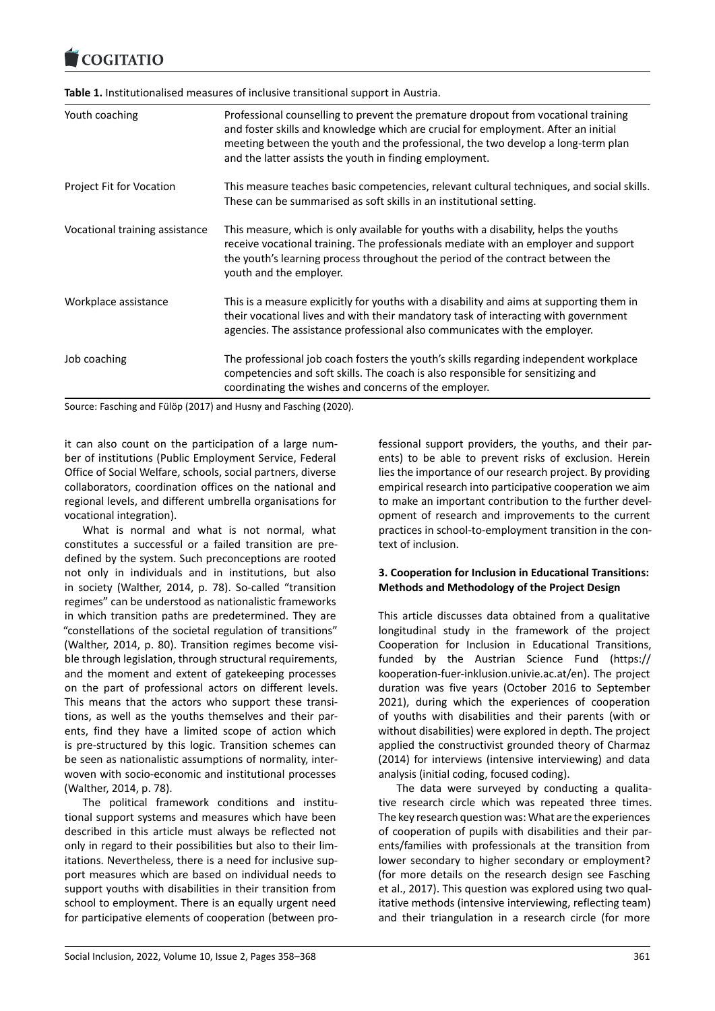#### COQUATIO

**Table 1.** Institutionalised measures of inclusive transitional support in Austria.

| Youth coaching                 | Professional counselling to prevent the premature dropout from vocational training<br>and foster skills and knowledge which are crucial for employment. After an initial<br>meeting between the youth and the professional, the two develop a long-term plan<br>and the latter assists the youth in finding employment. |
|--------------------------------|-------------------------------------------------------------------------------------------------------------------------------------------------------------------------------------------------------------------------------------------------------------------------------------------------------------------------|
| Project Fit for Vocation       | This measure teaches basic competencies, relevant cultural techniques, and social skills.<br>These can be summarised as soft skills in an institutional setting.                                                                                                                                                        |
| Vocational training assistance | This measure, which is only available for youths with a disability, helps the youths<br>receive vocational training. The professionals mediate with an employer and support<br>the youth's learning process throughout the period of the contract between the<br>youth and the employer.                                |
| Workplace assistance           | This is a measure explicitly for youths with a disability and aims at supporting them in<br>their vocational lives and with their mandatory task of interacting with government<br>agencies. The assistance professional also communicates with the employer.                                                           |
| Job coaching                   | The professional job coach fosters the youth's skills regarding independent workplace<br>competencies and soft skills. The coach is also responsible for sensitizing and<br>coordinating the wishes and concerns of the employer.                                                                                       |

Source: Fasching and Fülöp (2017) and Husny and Fasching (2020).

it can also count on the participation of a large num‐ ber of institutions (Public Employment Service, Federal Office of Social Welfare, schools, social partners, diverse collaborators, coordination offices on the national and regional levels, and different umbrella organisations for vocational integration).

What is normal and what is not normal, what constitutes a successful or a failed transition are pre‐ defined by the system. Such preconceptions are rooted not only in individuals and in institutions, but also in society (Walther, 2014, p. 78). So-called "transition regimes" can be understood as nationalistic frameworks in which transition paths are predetermined. They are "constellations of the societal regulation of transitions" (Walther, 2014, p. 80). Transition regimes become visi‐ ble through legislation, through structural requirements, and the moment and extent of gatekeeping processes on the part of professional actors on different levels. This means that the actors who support these transi‐ tions, as well as the youths themselves and their par‐ ents, find they have a limited scope of action which is pre‐structured by this logic. Transition schemes can be seen as nationalistic assumptions of normality, inter‐ woven with socio‐economic and institutional processes (Walther, 2014, p. 78).

The political framework conditions and institu‐ tional support systems and measures which have been described in this article must always be reflected not only in regard to their possibilities but also to their lim‐ itations. Nevertheless, there is a need for inclusive sup‐ port measures which are based on individual needs to support youths with disabilities in their transition from school to employment. There is an equally urgent need for participative elements of cooperation (between pro‐ fessional support providers, the youths, and their par‐ ents) to be able to prevent risks of exclusion. Herein lies the importance of our research project. By providing empirical research into participative cooperation we aim to make an important contribution to the further devel‐ opment of research and improvements to the current practices in school-to-employment transition in the context of inclusion.

## **3. Cooperation for Inclusion in Educational Transitions: Methods and Methodology of the Project Design**

This article discusses data obtained from a qualitative longitudinal study in the framework of the project Cooperation for Inclusion in Educational Transitions, funded by the Austrian Science Fund (https:// kooperation‐fuer‐inklusion.univie.ac.at/en). The project duration was five years (October 2016 to September 2021), during which the experiences of cooperation of youths with disabilities and their parents([with or](https://kooperation-fuer-inklusion.univie.ac.at/en) [without disabilities\) were explored in depth](https://kooperation-fuer-inklusion.univie.ac.at/en). The project applied the constructivist grounded theory of Charmaz (2014) for interviews (intensive interviewing) and data analysis (initial coding, focused coding).

The data were surveyed by conducting a qualita‐ tive research circle which was repeated three times. The key research question was: What are the experiences of cooperation of pupils with disabilities and their par‐ ents/families with professionals at the transition from lower secondary to higher secondary or employment? (for more details on the research design see Fasching et al., 2017). This question was explored using two qual‐ itative methods (intensive interviewing, reflecting team) and their triangulation in a research circle (for more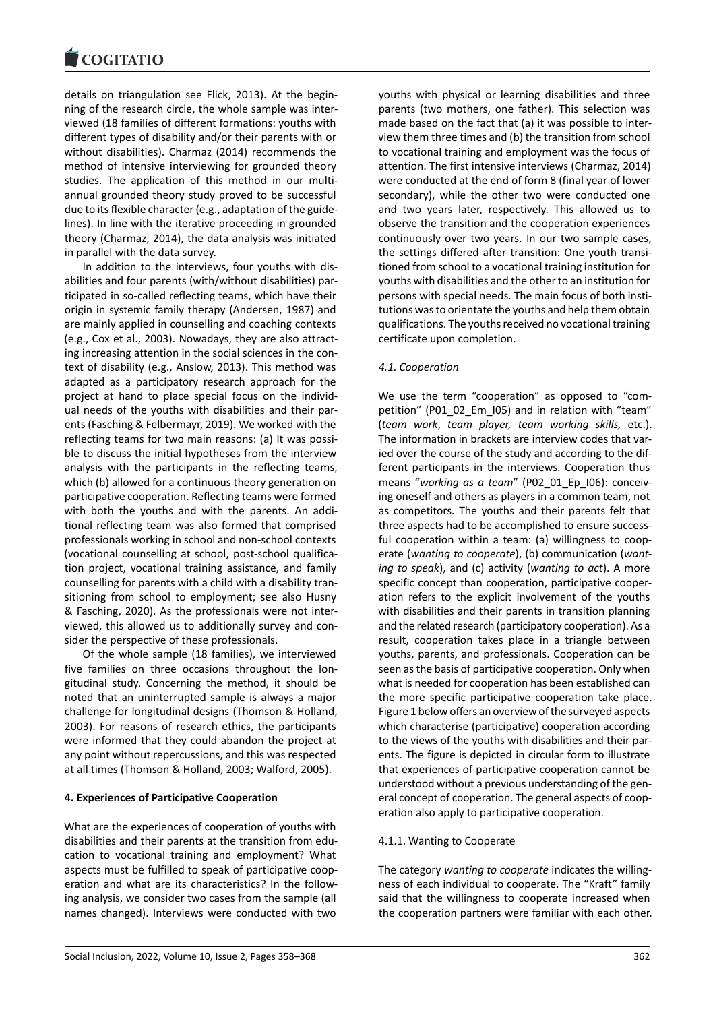details on triangulation see Flick, 2013). At the begin‐ [ning of the research](https://www.cogitatiopress.com) circle, the whole sample was inter‐ viewed (18 families of different formations: youths with different types of disability and/or their parents with or without disabilities). Charmaz (2014) recommends the method of intensive interviewing for grounded theory studies. The application of this method in our multi‐ annual grounded theory study proved to be successful due to its flexible character (e.g., adaptation of the guide‐ lines). In line with the iterative proceeding in grounded theory (Charmaz, 2014), the data analysis was initiated in parallel with the data survey.

In addition to the interviews, four youths with dis‐ abilities and four parents (with/without disabilities) par‐ ticipated in so-called reflecting teams, which have their origin in systemic family therapy (Andersen, 1987) and are mainly applied in counselling and coaching contexts (e.g., Cox et al., 2003). Nowadays, they are also attract‐ ing increasing attention in the social sciences in the context of disability (e.g., Anslow, 2013). This method was adapted as a participatory research approach for the project at hand to place special focus on the individ‐ ual needs of the youths with disabilities and their par‐ ents (Fasching & Felbermayr, 2019). We worked with the reflecting teams for two main reasons: (a) It was possi‐ ble to discuss the initial hypotheses from the interview analysis with the participants in the reflecting teams, which (b) allowed for a continuous theory generation on participative cooperation. Reflecting teams were formed with both the youths and with the parents. An addi‐ tional reflecting team was also formed that comprised professionals working in school and non‐school contexts (vocational counselling at school, post‐school qualifica‐ tion project, vocational training assistance, and family counselling for parents with a child with a disability tran‐ sitioning from school to employment; see also Husny & Fasching, 2020). As the professionals were not inter‐ viewed, this allowed us to additionally survey and con‐ sider the perspective of these professionals.

Of the whole sample (18 families), we interviewed five families on three occasions throughout the lon‐ gitudinal study. Concerning the method, it should be noted that an uninterrupted sample is always a major challenge for longitudinal designs (Thomson & Holland, 2003). For reasons of research ethics, the participants were informed that they could abandon the project at any point without repercussions, and this was respected at all times (Thomson & Holland, 2003; Walford, 2005).

### **4. Experiences of Participative Cooperation**

What are the experiences of cooperation of youths with disabilities and their parents at the transition from edu‐ cation to vocational training and employment? What aspects must be fulfilled to speak of participative coop‐ eration and what are its characteristics? In the follow‐ ing analysis, we consider two cases from the sample (all names changed). Interviews were conducted with two

youths with physical or learning disabilities and three parents (two mothers, one father). This selection was made based on the fact that (a) it was possible to inter‐ view them three times and (b) the transition from school to vocational training and employment was the focus of attention. The first intensive interviews (Charmaz, 2014) were conducted at the end of form 8 (final year of lower secondary), while the other two were conducted one and two years later, respectively. This allowed us to observe the transition and the cooperation experiences continuously over two years. In our two sample cases, the settings differed after transition: One youth transi‐ tioned from school to a vocational training institution for youths with disabilities and the other to an institution for persons with special needs. The main focus of both insti‐ tutions was to orientate the youths and help them obtain qualifications. The youths received no vocational training certificate upon completion.

#### *4.1. Cooperation*

We use the term "cooperation" as opposed to "competition" (P01\_02\_Em\_I05) and in relation with "team" (*team work*, *team player, team working skills,* etc.). The information in brackets are interview codes that var‐ ied over the course of the study and according to the dif‐ ferent participants in the interviews. Cooperation thus means "*working as a team*" (P02\_01\_Ep\_I06): conceiv‐ ing oneself and others as players in a common team, not as competitors. The youths and their parents felt that three aspects had to be accomplished to ensure success‐ ful cooperation within a team: (a) willingness to coop‐ erate (*wanting to cooperate*), (b) communication (*want‐ ing to speak*), and (c) activity (*wanting to act*). A more specific concept than cooperation, participative cooper‐ ation refers to the explicit involvement of the youths with disabilities and their parents in transition planning and the related research (participatory cooperation). As a result, cooperation takes place in a triangle between youths, parents, and professionals. Cooperation can be seen as the basis of participative cooperation. Only when what is needed for cooperation has been established can the more specific participative cooperation take place. Figure 1 below offers an overview of the surveyed aspects which characterise (participative) cooperation according to the views of the youths with disabilities and their par‐ ents. The figure is depicted in circular form to illustrate that experiences of participative cooperation cannot be understood without a previous understanding of the gen‐ eral concept of cooperation. The general aspects of coop‐ eration also apply to participative cooperation.

#### 4.1.1. Wanting to Cooperate

The category *wanting to cooperate* indicates the willing‐ ness of each individual to cooperate. The "Kraft" family said that the willingness to cooperate increased when the cooperation partners were familiar with each other.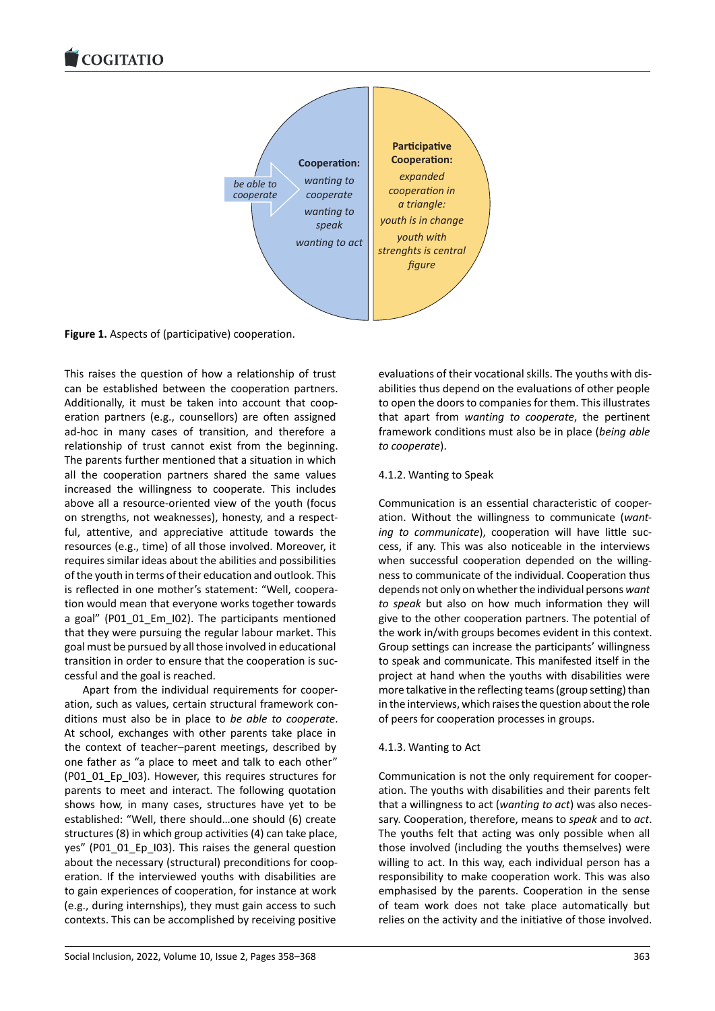

**Figure 1.** Aspects of (participative) cooperation.

This raises the question of how a relationship of trust can be established between the cooperation partners. Additionally, it must be taken into account that coop‐ eration partners (e.g., counsellors) are often assigned ad‐hoc in many cases of transition, and therefore a relationship of trust cannot exist from the beginning. The parents further mentioned that a situation in which all the cooperation partners shared the same values increased the willingness to cooperate. This includes above all a resource‐oriented view of the youth (focus on strengths, not weaknesses), honesty, and a respect‐ ful, attentive, and appreciative attitude towards the resources (e.g., time) of all those involved. Moreover, it requires similar ideas about the abilities and possibilities of the youth in terms of their education and outlook. This is reflected in one mother's statement: "Well, coopera‐ tion would mean that everyone works together towards a goal" (P01\_01\_Em\_I02). The participants mentioned that they were pursuing the regular labour market. This goal must be pursued by all those involved in educational transition in order to ensure that the cooperation is suc‐ cessful and the goal is reached.

Apart from the individual requirements for cooper‐ ation, such as values, certain structural framework con‐ ditions must also be in place to *be able to cooperate*. At school, exchanges with other parents take place in the context of teacher–parent meetings, described by one father as "a place to meet and talk to each other" (P01\_01\_Ep\_I03). However, this requires structures for parents to meet and interact. The following quotation shows how, in many cases, structures have yet to be established: "Well, there should…one should (6) create structures (8) in which group activities (4) can take place, yes" (P01\_01\_Ep\_I03). This raises the general question about the necessary (structural) preconditions for coop‐ eration. If the interviewed youths with disabilities are to gain experiences of cooperation, for instance at work (e.g., during internships), they must gain access to such contexts. This can be accomplished by receiving positive

evaluations of their vocational skills. The youths with dis‐ abilities thus depend on the evaluations of other people to open the doors to companies for them. This illustrates that apart from *wanting to cooperate*, the pertinent framework conditions must also be in place (*being able to cooperate*).

## 4.1.2. Wanting to Speak

Communication is an essential characteristic of cooper‐ ation. Without the willingness to communicate (*want‐ ing to communicate*), cooperation will have little suc‐ cess, if any. This was also noticeable in the interviews when successful cooperation depended on the willingness to communicate of the individual. Cooperation thus depends not only on whether the individual persons *want to speak* but also on how much information they will give to the other cooperation partners. The potential of the work in/with groups becomes evident in this context. Group settings can increase the participants' willingness to speak and communicate. This manifested itself in the project at hand when the youths with disabilities were more talkative in the reflecting teams (group setting) than in the interviews, which raises the question about the role of peers for cooperation processes in groups.

# 4.1.3. Wanting to Act

Communication is not the only requirement for cooper‐ ation. The youths with disabilities and their parents felt that a willingness to act (*wanting to act*) was also neces‐ sary. Cooperation, therefore, means to *speak* and to *act*. The youths felt that acting was only possible when all those involved (including the youths themselves) were willing to act. In this way, each individual person has a responsibility to make cooperation work. This was also emphasised by the parents. Cooperation in the sense of team work does not take place automatically but relies on the activity and the initiative of those involved.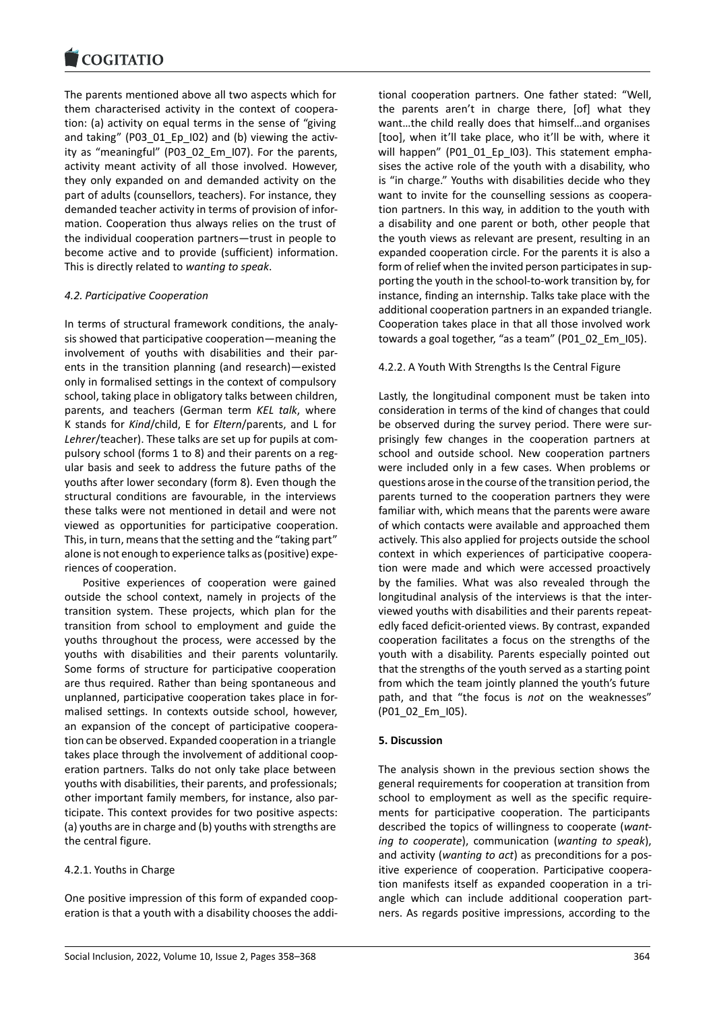The parents mentioned above all two aspects which for [them characterised](https://www.cogitatiopress.com) activity in the context of coopera‐ tion: (a) activity on equal terms in the sense of "giving and taking" (P03\_01\_Ep\_I02) and (b) viewing the activity as "meaningful" (P03 02 Em I07). For the parents, activity meant activity of all those involved. However, they only expanded on and demanded activity on the part of adults (counsellors, teachers). For instance, they demanded teacher activity in terms of provision of infor‐ mation. Cooperation thus always relies on the trust of the individual cooperation partners—trust in people to become active and to provide (sufficient) information. This is directly related to *wanting to speak*.

### *4.2. Participative Cooperation*

In terms of structural framework conditions, the analy‐ sis showed that participative cooperation—meaning the involvement of youths with disabilities and their par‐ ents in the transition planning (and research)—existed only in formalised settings in the context of compulsory school, taking place in obligatory talks between children, parents, and teachers (German term *KEL talk*, where K stands for *Kind*/child, E for *Eltern*/parents, and L for *Lehrer*/teacher). These talks are set up for pupils at com‐ pulsory school (forms 1 to 8) and their parents on a reg‐ ular basis and seek to address the future paths of the youths after lower secondary (form 8). Even though the structural conditions are favourable, in the interviews these talks were not mentioned in detail and were not viewed as opportunities for participative cooperation. This, in turn, means that the setting and the "taking part" alone is not enough to experience talks as (positive) expe‐ riences of cooperation.

Positive experiences of cooperation were gained outside the school context, namely in projects of the transition system. These projects, which plan for the transition from school to employment and guide the youths throughout the process, were accessed by the youths with disabilities and their parents voluntarily. Some forms of structure for participative cooperation are thus required. Rather than being spontaneous and unplanned, participative cooperation takes place in for‐ malised settings. In contexts outside school, however, an expansion of the concept of participative coopera‐ tion can be observed. Expanded cooperation in a triangle takes place through the involvement of additional coop‐ eration partners. Talks do not only take place between youths with disabilities, their parents, and professionals; other important family members, for instance, also par‐ ticipate. This context provides for two positive aspects: (a) youths are in charge and (b) youths with strengths are the central figure.

### 4.2.1. Youths in Charge

One positive impression of this form of expanded coop‐ eration is that a youth with a disability chooses the addi‐ tional cooperation partners. One father stated: "Well, the parents aren't in charge there, [of] what they want…the child really does that himself…and organises [too], when it'll take place, who it'll be with, where it will happen" (P01\_01\_Ep\_I03). This statement emphasises the active role of the youth with a disability, who is "in charge." Youths with disabilities decide who they want to invite for the counselling sessions as coopera‐ tion partners. In this way, in addition to the youth with a disability and one parent or both, other people that the youth views as relevant are present, resulting in an expanded cooperation circle. For the parents it is also a form of relief when the invited person participates in supporting the youth in the school‐to‐work transition by, for instance, finding an internship. Talks take place with the additional cooperation partners in an expanded triangle. Cooperation takes place in that all those involved work towards a goal together, "as a team" (P01\_02\_Em\_I05).

#### 4.2.2. A Youth With Strengths Is the Central Figure

Lastly, the longitudinal component must be taken into consideration in terms of the kind of changes that could be observed during the survey period. There were surprisingly few changes in the cooperation partners at school and outside school. New cooperation partners were included only in a few cases. When problems or questions arose in the course of the transition period, the parents turned to the cooperation partners they were familiar with, which means that the parents were aware of which contacts were available and approached them actively. This also applied for projects outside the school context in which experiences of participative coopera‐ tion were made and which were accessed proactively by the families. What was also revealed through the longitudinal analysis of the interviews is that the inter‐ viewed youths with disabilities and their parents repeat‐ edly faced deficit‐oriented views. By contrast, expanded cooperation facilitates a focus on the strengths of the youth with a disability. Parents especially pointed out that the strengths of the youth served as a starting point from which the team jointly planned the youth's future path, and that "the focus is *not* on the weaknesses" (P01\_02\_Em\_I05).

#### **5. Discussion**

The analysis shown in the previous section shows the general requirements for cooperation at transition from school to employment as well as the specific require‐ ments for participative cooperation. The participants described the topics of willingness to cooperate (*want‐ ing to cooperate*), communication (*wanting to speak*), and activity (*wanting to act*) as preconditions for a pos‐ itive experience of cooperation. Participative coopera‐ tion manifests itself as expanded cooperation in a tri‐ angle which can include additional cooperation part‐ ners. As regards positive impressions, according to the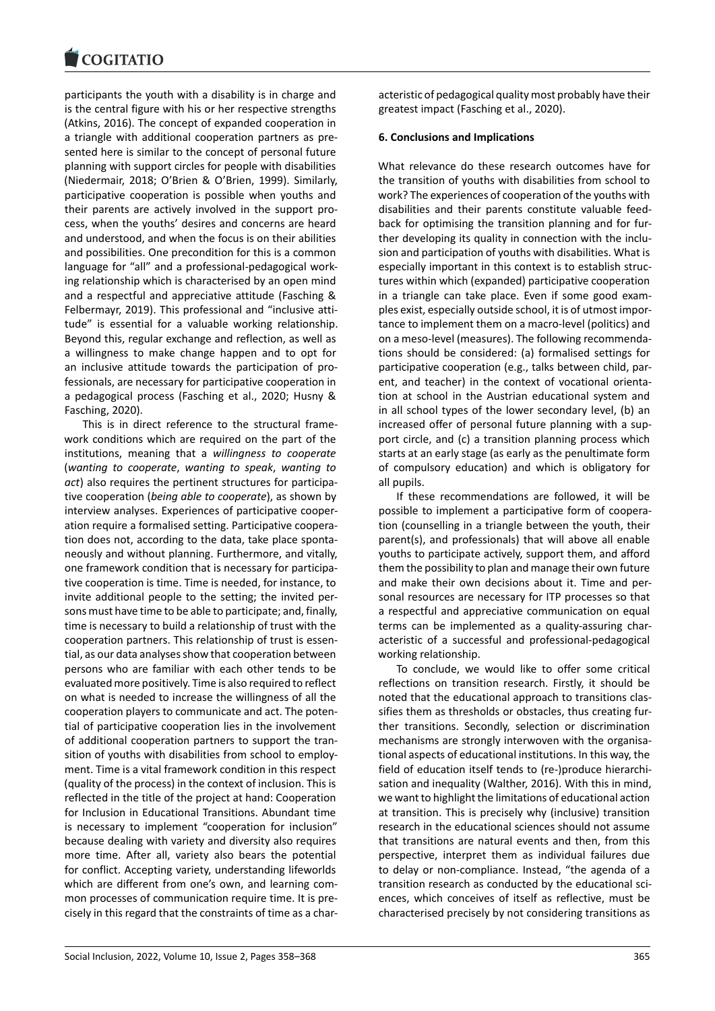participants the youth with a disability is in charge and [is the central figure w](https://www.cogitatiopress.com)ith his or her respective strengths (Atkins, 2016). The concept of expanded cooperation in a triangle with additional cooperation partners as pre‐ sented here is similar to the concept of personal future planning with support circles for people with disabilities (Niedermair, 2018; O'Brien & O'Brien, 1999). Similarly, participative cooperation is possible when youths and their parents are actively involved in the support pro‐ cess, when the youths' desires and concerns are heard and understood, and when the focus is on their abilities and possibilities. One precondition for this is a common language for "all" and a professional‐pedagogical work‐ ing relationship which is characterised by an open mind and a respectful and appreciative attitude (Fasching & Felbermayr, 2019). This professional and "inclusive atti‐ tude" is essential for a valuable working relationship. Beyond this, regular exchange and reflection, as well as a willingness to make change happen and to opt for an inclusive attitude towards the participation of pro‐ fessionals, are necessary for participative cooperation in a pedagogical process (Fasching et al., 2020; Husny & Fasching, 2020).

This is in direct reference to the structural frame‐ work conditions which are required on the part of the institutions, meaning that a *willingness to cooperate* (*wanting to cooperate*, *wanting to speak*, *wanting to act*) also requires the pertinent structures for participa‐ tive cooperation (*being able to cooperate*), as shown by interview analyses. Experiences of participative cooper‐ ation require a formalised setting. Participative coopera‐ tion does not, according to the data, take place sponta‐ neously and without planning. Furthermore, and vitally, one framework condition that is necessary for participa‐ tive cooperation is time. Time is needed, for instance, to invite additional people to the setting; the invited per‐ sons must have time to be able to participate; and, finally, time is necessary to build a relationship of trust with the cooperation partners. This relationship of trust is essen‐ tial, as our data analyses show that cooperation between persons who are familiar with each other tends to be evaluated more positively. Time is also required to reflect on what is needed to increase the willingness of all the cooperation players to communicate and act. The poten‐ tial of participative cooperation lies in the involvement of additional cooperation partners to support the tran‐ sition of youths with disabilities from school to employ‐ ment. Time is a vital framework condition in this respect (quality of the process) in the context of inclusion. This is reflected in the title of the project at hand: Cooperation for Inclusion in Educational Transitions. Abundant time is necessary to implement "cooperation for inclusion" because dealing with variety and diversity also requires more time. After all, variety also bears the potential for conflict. Accepting variety, understanding lifeworlds which are different from one's own, and learning com‐ mon processes of communication require time. It is pre‐ cisely in this regard that the constraints of time as a char‐ acteristic of pedagogical quality most probably have their greatest impact (Fasching et al., 2020).

#### **6. Conclusions and Implications**

What relevance do these research outcomes have for the transition of youths with disabilities from school to work? The experiences of cooperation of the youths with disabilities and their parents constitute valuable feed‐ back for optimising the transition planning and for fur‐ ther developing its quality in connection with the inclu‐ sion and participation of youths with disabilities. What is especially important in this context is to establish struc‐ tures within which (expanded) participative cooperation in a triangle can take place. Even if some good exam‐ ples exist, especially outside school, it is of utmost impor‐ tance to implement them on a macro‐level (politics) and on a meso‐level (measures). The following recommenda‐ tions should be considered: (a) formalised settings for participative cooperation (e.g., talks between child, par‐ ent, and teacher) in the context of vocational orientation at school in the Austrian educational system and in all school types of the lower secondary level, (b) an increased offer of personal future planning with a support circle, and (c) a transition planning process which starts at an early stage (as early as the penultimate form of compulsory education) and which is obligatory for all pupils.

If these recommendations are followed, it will be possible to implement a participative form of coopera‐ tion (counselling in a triangle between the youth, their parent(s), and professionals) that will above all enable youths to participate actively, support them, and afford them the possibility to plan and manage their own future and make their own decisions about it. Time and per‐ sonal resources are necessary for ITP processes so that a respectful and appreciative communication on equal terms can be implemented as a quality‐assuring char‐ acteristic of a successful and professional‐pedagogical working relationship.

To conclude, we would like to offer some critical reflections on transition research. Firstly, it should be noted that the educational approach to transitions clas‐ sifies them as thresholds or obstacles, thus creating fur‐ ther transitions. Secondly, selection or discrimination mechanisms are strongly interwoven with the organisational aspects of educational institutions. In this way, the field of education itself tends to (re‐)produce hierarchi‐ sation and inequality (Walther, 2016). With this in mind, we want to highlight the limitations of educational action at transition. This is precisely why (inclusive) transition research in the educational sciences should not assume that transitions are natural events and then, from this perspective, interpret them as individual failures due to delay or non‐compliance. Instead, "the agenda of a transition research as conducted by the educational sci‐ ences, which conceives of itself as reflective, must be characterised precisely by not considering transitions as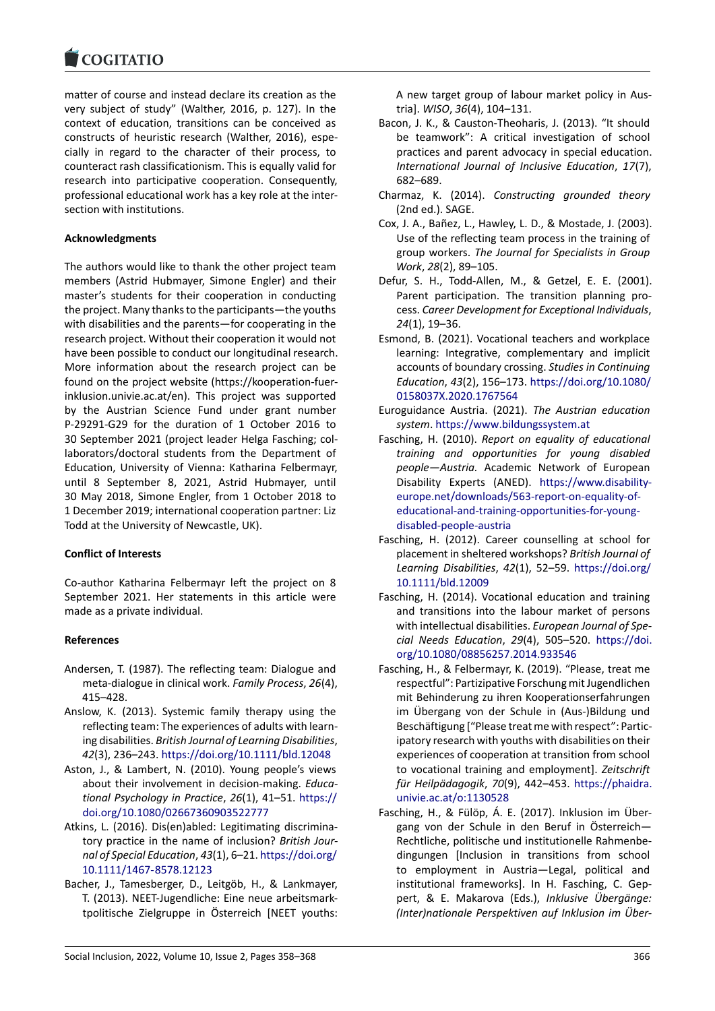matter of course and instead declare its creation as the [very subject of stud](https://www.cogitatiopress.com)y" (Walther, 2016, p. 127). In the context of education, transitions can be conceived as constructs of heuristic research (Walther, 2016), espe‐ cially in regard to the character of their process, to counteract rash classificationism. This is equally valid for research into participative cooperation. Consequently, professional educational work has a key role at the inter‐ section with institutions.

# **Acknowledgments**

The authors would like to thank the other project team members (Astrid Hubmayer, Simone Engler) and their master's students for their cooperation in conducting the project. Many thanks to the participants—the youths with disabilities and the parents—for cooperating in the research project. Without their cooperation it would not have been possible to conduct our longitudinal research. More information about the research project can be found on the project website (https://kooperation‐fuer‐ inklusion.univie.ac.at/en). This project was supported by the Austrian Science Fund under grant number P‐29291‐G29 for the duration of 1 October 2016 to 30 September 2021 (project l[eader Helga Fasching; col‐](https://kooperation-fuer-inklusion.univie.ac.at/en) [laborators/doctoral stud](https://kooperation-fuer-inklusion.univie.ac.at/en)ents from the Department of Education, University of Vienna: Katharina Felbermayr, until 8 September 8, 2021, Astrid Hubmayer, until 30 May 2018, Simone Engler, from 1 October 2018 to 1 December 2019; international cooperation partner: Liz Todd at the University of Newcastle, UK).

### **Conflict of Interests**

Co‐author Katharina Felbermayr left the project on 8 September 2021. Her statements in this article were made as a private individual.

# **References**

- Andersen, T. (1987). The reflecting team: Dialogue and meta‐dialogue in clinical work. *Family Process*, *26*(4), 415–428.
- Anslow, K. (2013). Systemic family therapy using the reflecting team: The experiences of adults with learn‐ ing disabilities. *British Journal of Learning Disabilities*, *42*(3), 236–243. https://doi.org/10.1111/bld.12048
- Aston, J., & Lambert, N. (2010). Young people's views about their involvement in decision‐making. *Educa‐ tional Psychology in Practice*, *26*(1), 41–51. https:// doi.org/10.1080[/02667360903522777](https://doi.org/10.1111/bld.12048)
- Atkins, L. (2016). Dis(en)abled: Legitimating discrimina‐ tory practice in the name of inclusion? *British Jour‐ nal of Special Education*, *43*(1), 6–21. https://[doi.org/](https://doi.org/10.1080/02667360903522777) [10.1111/1467‐8578.12123](https://doi.org/10.1080/02667360903522777)
- Bacher, J., Tamesberger, D., Leitgöb, H., & Lankmayer, T. (2013). NEET‐Jugendliche: Eine neue arbeitsmark‐ tpolitische Zielgruppe in Österreic[h \[NEET youths:](https://doi.org/10.1111/1467-8578.12123)

A new target group of labour market policy in Aus‐ tria]. *WISO*, *36*(4), 104–131.

- Bacon, J. K., & Causton‐Theoharis, J. (2013). "It should be teamwork": A critical investigation of school practices and parent advocacy in special education. *International Journal of Inclusive Education*, *17*(7), 682–689.
- Charmaz, K. (2014). *Constructing grounded theory* (2nd ed.). SAGE.
- Cox, J. A., Bañez, L., Hawley, L. D., & Mostade, J. (2003). Use of the reflecting team process in the training of group workers. *The Journal for Specialists in Group Work*, *28*(2), 89–105.
- Defur, S. H., Todd‐Allen, M., & Getzel, E. E. (2001). Parent participation. The transition planning pro‐ cess. *Career Development for Exceptional Individuals*, *24*(1), 19–36.
- Esmond, B. (2021). Vocational teachers and workplace learning: Integrative, complementary and implicit accounts of boundary crossing. *Studies in Continuing Education*, *43*(2), 156–173. https://doi.org/10.1080/ 0158037X.2020.1767564
- Euroguidance Austria. (2021). *The Austrian education system*. https://www.bildungssystem.at
- Fasching, H. (2010). *Report o[n equality of educational](https://doi.org/10.1080/0158037X.2020.1767564) [training and opportuni](https://doi.org/10.1080/0158037X.2020.1767564)ties for young disabled people—Austria.* Academic Network of European Disabilit[y Experts \(ANED\).](https://www.bildungssystem.at) https://www.disability‐ europe.net/downloads/563‐report‐on‐equality‐of‐ educational‐and‐training‐opportunities‐for‐young‐ disabled‐people‐austria
- Fasching, H. (2012). Career co[unselling at school for](https://www.disability-europe.net/downloads/563-report-on-equality-of-educational-and-training-opportunities-for-young-disabled-people-austria) [placement in sheltered workshops?](https://www.disability-europe.net/downloads/563-report-on-equality-of-educational-and-training-opportunities-for-young-disabled-people-austria) *British Journal of [Learning Disabilities](https://www.disability-europe.net/downloads/563-report-on-equality-of-educational-and-training-opportunities-for-young-disabled-people-austria)*, *42*(1), 52–59. https://doi.org/ [10.1111/bld.12009](https://www.disability-europe.net/downloads/563-report-on-equality-of-educational-and-training-opportunities-for-young-disabled-people-austria)
- Fasching, H. (2014). Vocational education and training and transitions into the labour market of persons with intellectual disabilities. *Europea[n Journal of Spe‐](https://doi.org/10.1111/bld.12009) [cial Needs Educati](https://doi.org/10.1111/bld.12009)on*, *29*(4), 505–520. https://doi. org/10.1080/08856257.2014.933546
- Fasching, H., & Felbermayr, K. (2019). "Please, treat me respectful": Partizipative Forschung mit Jugendlichen mit Behinderung zu ihren Kooperations[erfahrungen](https://doi.org/10.1080/08856257.2014.933546) [im Übergang von der Schule in \(Au](https://doi.org/10.1080/08856257.2014.933546)s‐)Bildung und Beschäftigung ["Please treat me with respect": Partic‐ ipatory research with youths with disabilities on their experiences of cooperation at transition from school to vocational training and employment]. *Zeitschrift für Heilpädagogik*, *70*(9), 442–453. https://phaidra. univie.ac.at/o:1130528
- Fasching, H., & Fülöp, Á. E. (2017). Inklusion im Über‐ gang von der Schule in den Beruf in Österreich— Rechtliche, politische und institutio[nelle Rahmenbe‐](https://phaidra.univie.ac.at/o:1130528) [dingungen \[Inclusion](https://phaidra.univie.ac.at/o:1130528) in transitions from school to employment in Austria—Legal, political and institutional frameworks]. In H. Fasching, C. Gep‐ pert, & E. Makarova (Eds.), *Inklusive Übergänge: (Inter)nationale Perspektiven auf Inklusion im Über‐*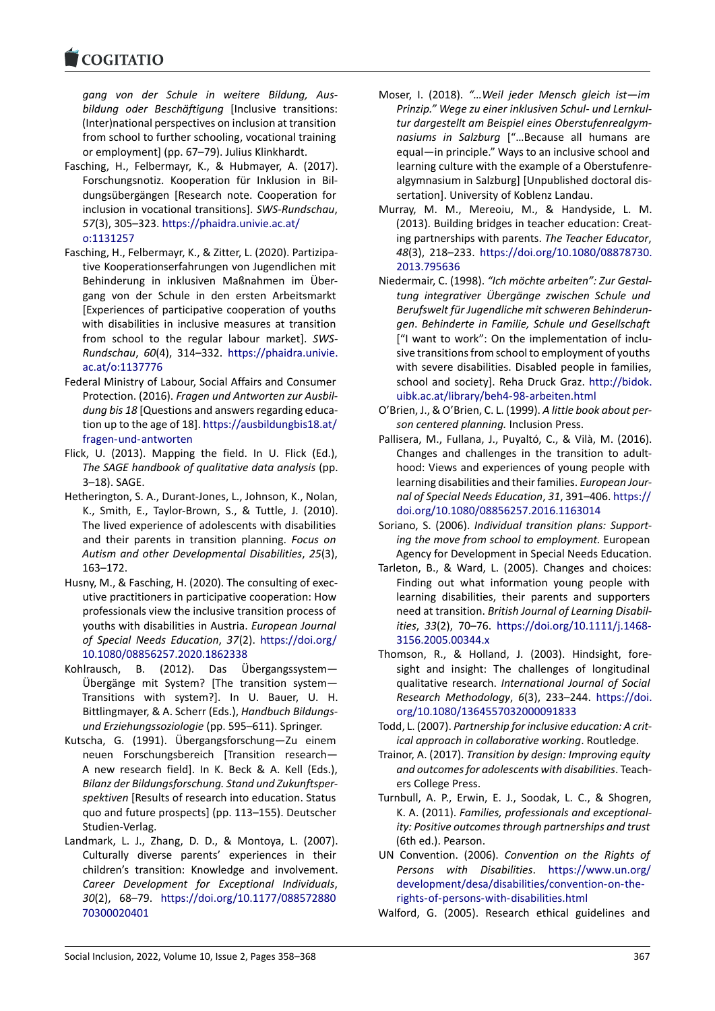#### COQUATIO

*gang von der Schule in weitere Bildung, Aus‐ bildung oder Beschäftigung* [Inclusive transitions: [\(Inter\)national pe](https://www.cogitatiopress.com)rspectives on inclusion at transition from school to further schooling, vocational training or employment] (pp. 67–79). Julius Klinkhardt.

- Fasching, H., Felbermayr, K., & Hubmayer, A. (2017). Forschungsnotiz. Kooperation für Inklusion in Bil‐ dungsübergängen [Research note. Cooperation for inclusion in vocational transitions]. *SWS‐Rundschau*, *57*(3), 305–323. https://phaidra.univie.ac.at/ o:1131257
- Fasching, H., Felbermayr, K., & Zitter, L. (2020). Partizipa‐ tive Kooperationserfahrungen von Jugendlichen mit Behinderung in [inklusiven Maßnahmen im](https://phaidra.univie.ac.at/o:1131257) Über‐ [gang von](https://phaidra.univie.ac.at/o:1131257) der Schule in den ersten Arbeitsmarkt [Experiences of participative cooperation of youths with disabilities in inclusive measures at transition from school to the regular labour market]. *SWS‐ Rundschau*, *60*(4), 314–332. https://phaidra.univie. ac.at/o:1137776
- Federal Ministry of Labour, Social Affairs and Consumer Protection. (2016). *Fragen und Antworten zur Ausbil‐ dung bis 18* [Questions and an[swers regarding educa‐](https://phaidra.univie.ac.at/o:1137776) [tion up to the age](https://phaidra.univie.ac.at/o:1137776) of 18]. https://ausbildungbis18.at/ fragen‐und‐antworten
- Flick, U. (2013). Mapping the field. In U. Flick (Ed.), *The SAGE handbook of qualitative data analysis* (pp. 3–18). SAGE.
- Het[herington, S. A., Durant](https://ausbildungbis18.at/fragen-und-antworten)‐J[ones, L., Johnson, K., Nolan,](https://ausbildungbis18.at/fragen-und-antworten) K., Smith, E., Taylor‐Brown, S., & Tuttle, J. (2010). The lived experience of adolescents with disabilities and their parents in transition planning. *Focus on Autism and other Developmental Disabilities*, *25*(3), 163–172.
- Husny, M., & Fasching, H. (2020). The consulting of exec‐ utive practitioners in participative cooperation: How professionals view the inclusive transition process of youths with disabilities in Austria. *European Journal of Special Needs Education*, *37*(2). https://doi.org/ 10.1080/08856257.2020.1862338
- Kohlrausch, B. (2012). Das Übergangssystem— Übergänge mit System? [The transition system— Transitions with system?]. In U. [Bauer, U. H.](https://doi.org/10.1080/08856257.2020.1862338) [Bittlingmayer, & A. Scherr \(Eds.\),](https://doi.org/10.1080/08856257.2020.1862338) *Handbuch Bildungs‐ und Erziehungssoziologie* (pp. 595–611). Springer.
- Kutscha, G. (1991). Übergangsforschung—Zu einem neuen Forschungsbereich [Transition research— A new research field]. In K. Beck & A. Kell (Eds.), *Bilanz der Bildungsforschung. Stand und Zukunftsper‐ spektiven* [Results of research into education. Status quo and future prospects] (pp. 113–155). Deutscher Studien‐Verlag.
- Landmark, L. J., Zhang, D. D., & Montoya, L. (2007). Culturally diverse parents' experiences in their children's transition: Knowledge and involvement. *Career Development for Exceptional Individuals*, *30*(2), 68–79. https://doi.org/10.1177/088572880 70300020401
- Moser, I. (2018). *"…Weil jeder Mensch gleich ist—im Prinzip." Wege zu einer inklusiven Schul‐ und Lernkul‐ tur dargestellt am Beispiel eines Oberstufenrealgym‐ nasiums in Salzburg* ["…Because all humans are equal—in principle." Ways to an inclusive school and learning culture with the example of a Oberstufenre‐ algymnasium in Salzburg] [Unpublished doctoral dis‐ sertation]. University of Koblenz Landau.
- Murray, M. M., Mereoiu, M., & Handyside, L. M. (2013). Building bridges in teacher education: Creat‐ ing partnerships with parents. *The Teacher Educator*, *48*(3), 218–233. https://doi.org/10.1080/08878730. 2013.795636
- Niedermair, C. (1998). *"Ich möchte arbeiten": Zur Gestal‐ tung integrativer Übergänge zwischen Schule und Berufswelt für Ju[gendliche mit schweren Behinderun‐](https://doi.org/10.1080/08878730.2013.795636) gen*. *[Behinde](https://doi.org/10.1080/08878730.2013.795636)rte in Familie, Schule und Gesellschaft* ["I want to work": On the implementation of inclu‐ sive transitions from school to employment of youths with severe disabilities. Disabled people in families, school and society]. Reha Druck Graz. http://bidok. uibk.ac.at/library/beh4‐98‐arbeiten.html
- O'Brien, J., & O'Brien, C. L. (1999). *A little book about per‐ son centered planning.* Inclusion Press.
- Pallisera, M., Fullana, J., Puyaltó, C., & Vil[à, M. \(2016\).](http://bidok.uibk.ac.at/library/beh4-98-arbeiten.html) [Changes and challenges in the transitio](http://bidok.uibk.ac.at/library/beh4-98-arbeiten.html)n to adult‐ hood: Views and experiences of young people with learning disabilities and their families. *European Jour‐ nal of Special Needs Education*, *31*, 391–406. https:// doi.org/10.1080/08856257.2016.1163014
- Soriano, S. (2006). *Individual transition plans: Support‐ ing the move from school to employment.* European Agency for Development in Special Needs Ed[ucation.](https://doi.org/10.1080/08856257.2016.1163014)
- Tarl[eton, B., & Ward, L. \(2005\). Changes an](https://doi.org/10.1080/08856257.2016.1163014)d choices: Finding out what information young people with learning disabilities, their parents and supporters need at transition. *British Journal of Learning Disabil‐ ities*, *33*(2), 70–76. https://doi.org/10.1111/j.1468‐ 3156.2005.00344.x
- Thomson, R., & Holland, J. (2003). Hindsight, fore‐ sight and insight: The challenges of longitudinal qualitative research. *[International Journal of Social](https://doi.org/10.1111/j.1468-3156.2005.00344.x) [Research Methodol](https://doi.org/10.1111/j.1468-3156.2005.00344.x)ogy*, *6*(3), 233–244. https://doi. org/10.1080/1364557032000091833
- Todd, L. (2007). *Partnership for inclusive education: A crit‐ ical approach in collaborative working*. Routledge.
- Trainor, A. (2017). *Transition by design: Impr[oving equity](https://doi.org/10.1080/1364557032000091833) [and outcomes for adolescents with dis](https://doi.org/10.1080/1364557032000091833)abilities*. Teach‐ ers College Press.
- Turnbull, A. P., Erwin, E. J., Soodak, L. C., & Shogren, K. A. (2011). *Families, professionals and exceptional‐ ity: Positive outcomes through partnerships and trust* (6th ed.). Pearson.
- UN Convention. (2006). *Convention on the Rights of Persons with Disabilities*. https://www.un.org/ development/desa/disabilities/convention‐on‐the‐ rights‐of‐persons‐with‐disabilities.html
- Walford, G. (2005). Research ethical guidelines and